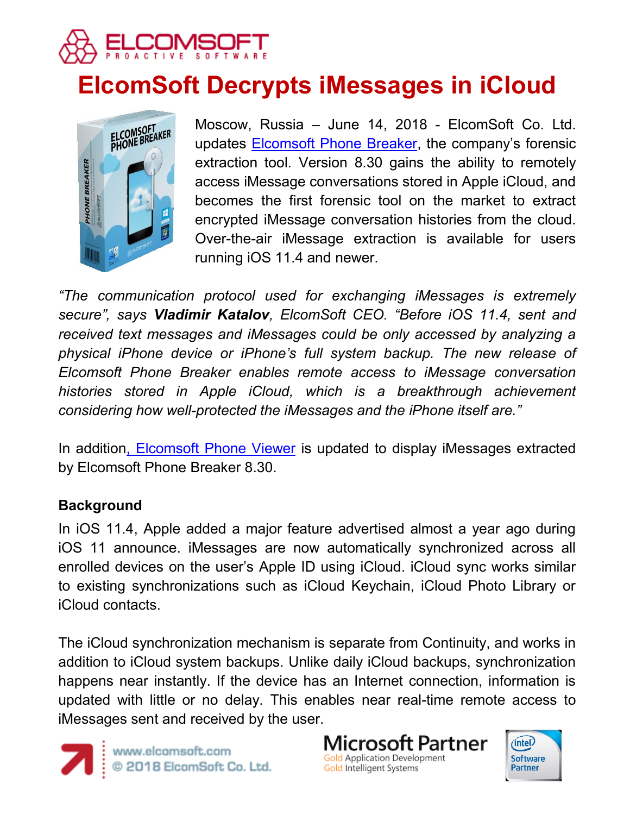

# **ElcomSoft Decrypts iMessages in iCloud**



Moscow, Russia – June 14, 2018 - ElcomSoft Co. Ltd. updates [Elcomsoft Phone Breaker](https://www.elcomsoft.com/eppb.html), the company's forensic extraction tool. Version 8.30 gains the ability to remotely access iMessage conversations stored in Apple iCloud, and becomes the first forensic tool on the market to extract encrypted iMessage conversation histories from the cloud. Over-the-air iMessage extraction is available for users running iOS 11.4 and newer.

*"The communication protocol used for exchanging iMessages is extremely secure", says Vladimir Katalov, ElcomSoft CEO. "Before iOS 11.4, sent and received text messages and iMessages could be only accessed by analyzing a physical iPhone device or iPhone's full system backup. The new release of Elcomsoft Phone Breaker enables remote access to iMessage conversation histories stored in Apple iCloud, which is a breakthrough achievement considering how well-protected the iMessages and the iPhone itself are."*

In additio[n, Elcomsoft Phone Viewer](https://www.elcomsoft.com/epv.html) is updated to display iMessages extracted by Elcomsoft Phone Breaker 8.30.

# **Background**

In iOS 11.4, Apple added a major feature advertised almost a year ago during iOS 11 announce. iMessages are now automatically synchronized across all enrolled devices on the user's Apple ID using iCloud. iCloud sync works similar to existing synchronizations such as iCloud Keychain, iCloud Photo Library or iCloud contacts.

The iCloud synchronization mechanism is separate from Continuity, and works in addition to iCloud system backups. Unlike daily iCloud backups, synchronization happens near instantly. If the device has an Internet connection, information is updated with little or no delay. This enables near real-time remote access to iMessages sent and received by the user.



**Microsoft Partner Gold Application Development Gold Intelligent Systems** 

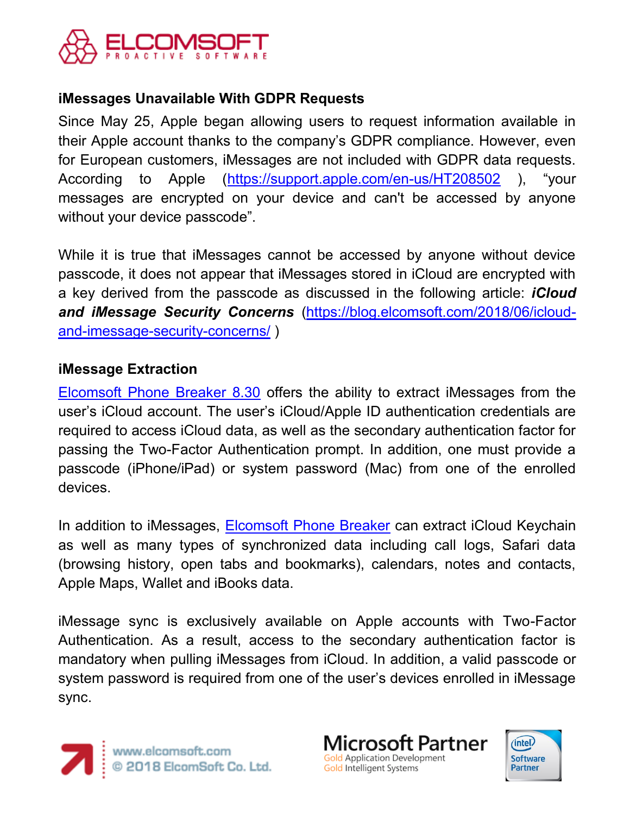

# **iMessages Unavailable With GDPR Requests**

Since May 25, Apple began allowing users to request information available in their Apple account thanks to the company's GDPR compliance. However, even for European customers, iMessages are not included with GDPR data requests. According to Apple [\(https://support.apple.com/en-us/HT208502](https://support.apple.com/en-us/HT208502) ), "your messages are encrypted on your device and can't be accessed by anyone without your device passcode".

While it is true that iMessages cannot be accessed by anyone without device passcode, it does not appear that iMessages stored in iCloud are encrypted with a key derived from the passcode as discussed in the following article: *iCloud and iMessage Security Concerns* [\(https://blog.elcomsoft.com/2018/06/icloud](https://blog.elcomsoft.com/2018/06/icloud-and-imessage-security-concerns/)[and-imessage-security-concerns/](https://blog.elcomsoft.com/2018/06/icloud-and-imessage-security-concerns/) )

## **iMessage Extraction**

[Elcomsoft Phone Breaker 8.30](https://www.elcomsoft.com/eppb.html) offers the ability to extract iMessages from the user's iCloud account. The user's iCloud/Apple ID authentication credentials are required to access iCloud data, as well as the secondary authentication factor for passing the Two-Factor Authentication prompt. In addition, one must provide a passcode (iPhone/iPad) or system password (Mac) from one of the enrolled devices.

In addition to iMessages, [Elcomsoft Phone Breaker](https://www.elcomsoft.com/eppb.html) can extract iCloud Keychain as well as many types of synchronized data including call logs, Safari data (browsing history, open tabs and bookmarks), calendars, notes and contacts, Apple Maps, Wallet and iBooks data.

iMessage sync is exclusively available on Apple accounts with Two-Factor Authentication. As a result, access to the secondary authentication factor is mandatory when pulling iMessages from iCloud. In addition, a valid passcode or system password is required from one of the user's devices enrolled in iMessage sync.



licrosoft Partner **Gold Application Development Gold Intelligent Systems**